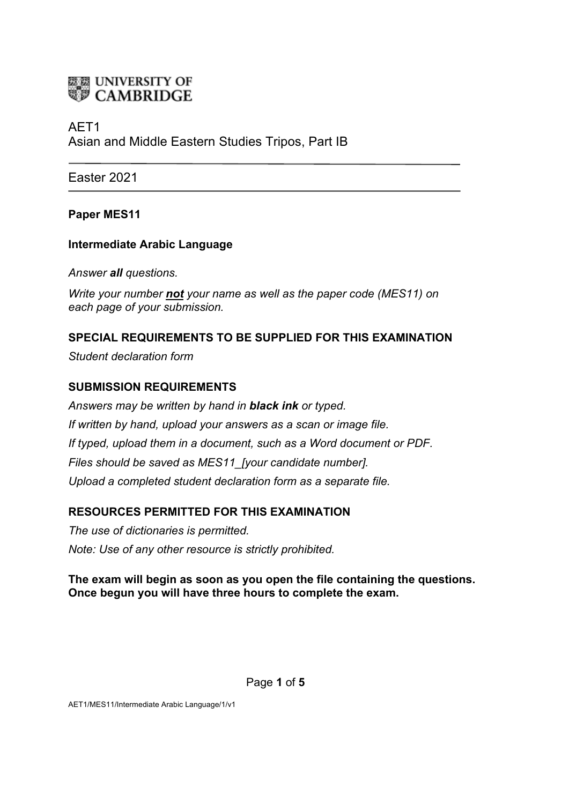

# AET1 Asian and Middle Eastern Studies Tripos, Part IB

Easter 2021

## **Paper MES11**

#### **Intermediate Arabic Language**

*Answer all questions.*

*Write your number not your name as well as the paper code (MES11) on each page of your submission.*

## **SPECIAL REQUIREMENTS TO BE SUPPLIED FOR THIS EXAMINATION**

*Student declaration form*

#### **SUBMISSION REQUIREMENTS**

*Answers may be written by hand in black ink or typed. If written by hand, upload your answers as a scan or image file. If typed, upload them in a document, such as a Word document or PDF. Files should be saved as MES11\_[your candidate number]. Upload a completed student declaration form as a separate file.*

## **RESOURCES PERMITTED FOR THIS EXAMINATION**

*The use of dictionaries is permitted. Note: Use of any other resource is strictly prohibited.*

#### **The exam will begin as soon as you open the file containing the questions. Once begun you will have three hours to complete the exam.**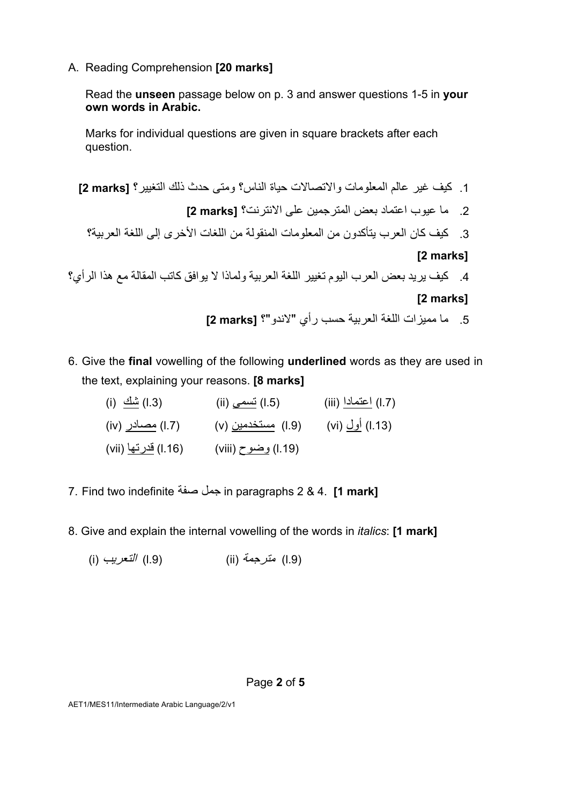A. Reading Comprehension **[20 marks]**

Read the **unseen** passage below on p. 3 and answer questions 1-5 in **your own words in Arabic.** 

Marks for individual questions are given in square brackets after each question.

.1 فیك ریغ تلااصتلااو تامولعملا ملاع سانلا ةایح ؟رییغتلا كلذ ثدح ىتمو ؟ **[marks 2[** .2 ؟تنرتنلاا ىلع نیمجرتملا ضعب دامتعا بویع ام **[marks 2[** .3 نم نودكأتی برعلا ناك فیك ؟ةیبرعلا ةغللا ىلإ ىرخلأا تاغللا نم ةلوقنملا تامولعملا **[2 marks]** .4 ؟يأرلا اذھ عم ةلاقملا بتاك قفاوی لا اذاملو ةیبرعلا ةغللا رییغت مویلا برعلا ضعب دیری فیك **[2 marks]** .5 ؟"ودنلا" يأر بسح ةیبرعلا ةغللا تازیمم ام **[marks 2[**

- 6. Give the **final** vowelling of the following **underlined** words as they are used in the text, explaining your reasons. **[8 marks]**
	- (ii) أعتمادا (iii) لتصحي (ii) (iii) (iii) أعتمادا (iii) (iii) (iii) (iii)  $\frac{1}{2}$  (l.7) (iv) (iv) مستخدمين (v) (l.7) مستخدمين (vi) صحبادر) (iv) (iv) بصبادر) (l.19) وضوح (viii) (l.16) ق<u>درتها</u> (vii
- 7. Find two indefinite لمج ةفص in paragraphs 2 & 4. **[1 mark]**
- 8. Give and explain the internal vowelling of the words in *italics*: **[1 mark]**

(i) بیرعتلا) l.9) (ii) ةمجرتم)l.9)

AET1/MES11/Intermediate Arabic Language/2/v1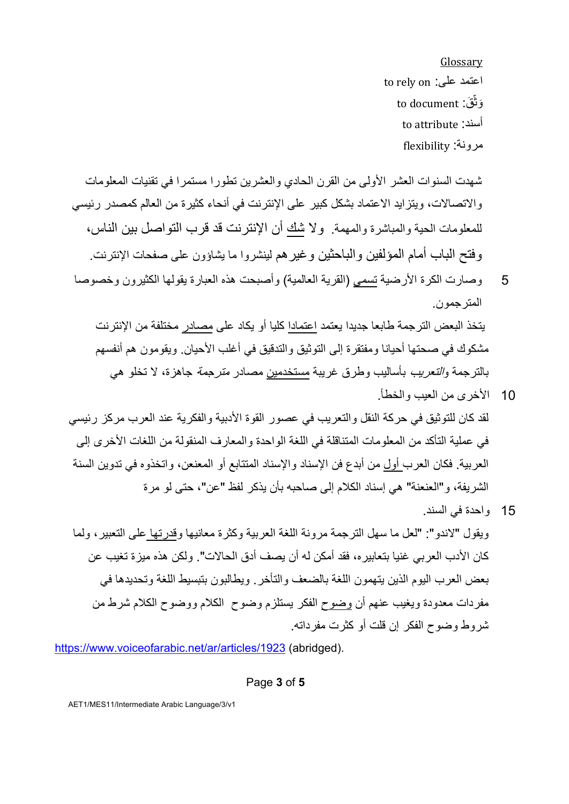Glossary to rely on : اعتمد على وَ نَّقَ: to document to attribute : أسند :ةنورم flexibility

شهدت السنوات العشر الأولى من القرن الحادي والعشرين تطورا مستمرا في تقنيات المعلومات والاتصالات، ويتز ايد الاعتماد بشكل كبير على الإنترنت في أنحاء كثيرة من العالم كمصدر رئيسي للمعلومات الحية والمباشرة والمهمة . و لا شك أن الإنترنت قد قر ب التو اصل بين الناس، و فتح الباب أمام المؤ لفين و الباحثين و غير هم لينشر و ا ما يشاؤون على صفحات الإنتر نت.

5 تر وصارت الكرة الأرضية تسمى (القرية العالمية) و أصبحت هذه العبارة يقولها الكثير ون وخصوصا المتر جمون يتخذ البعض الترجمة طابعا جديدا يعتمد اعتمادا كليا أو يكاد على مصادر مختلفة من الإنترنت

مشكوك في صحتها أحيانا و مفتقر ة إلى التو ثيق و التدقيق في أغلب الأحيان. و يقو مون هم أنفسهم بالترجمة *والتعريب* بأساليب وطرق غريبة مستخدمين مصـادر *مترجمة* جاهزة، لا تخلو هي 10 كلاخرى من العيب و الخطأ

- لقد كان للتو ثيق في حر كة النقل و التعر يب في عصور القو ة الأدبية و الفكر ية عند العر ب مر كز ار ئيسي في عملية التأكد من المعلو مات المتناقلة في اللغة الواحدة والمعارف المنقولة من اللغات الأخرى إلى العربية. فكان العرب أول من أبدع فن الإسناد والإسناد المتتابع أو المعنعن، واتخذوه في ندوين السنة الشريفة، و "العنعنة" هي إسناد الكلام إلى صاحبه بأن يذكر لفظ "عن"، حتى لو مر ة
- 15 واحدة في السند. ويقول "لاندو ": "لعل ما سهل التر جمة مر ونة اللغة العربية وكثر ة معانيها وقدر تها على التعبير ، ولما كان الأدب العر بي غنيا بتعابير ه، فقد أمكن له أن يصف أدق الحالات". و لكن هذه ميز ة تغيب عن بعض العر ب اليو م الذين يتهمون اللغة بالضعف و التأخر . ويطالبون بتبسيط اللغة و تحديدها في مفردات معدودة ويغيب عنهم أن وضوح الفكر يستلزم وضوح الكلام ووضوح الكلام شرط من شر وط وضوح الفكر إن قلت أو كثرت مفرداته.

https://www.voiceofarabic.net/ar/articles/1923 (abridged).

Page **3** of **5**

AET1/MES11/Intermediate Arabic Language/3/v1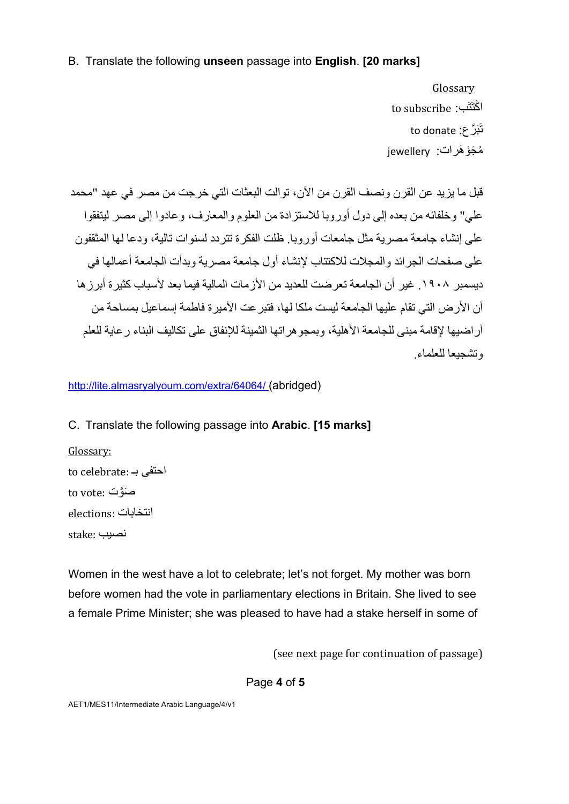#### B. Translate the following **unseen** passage into **English**. **[20 marks]**

**Glossary** to subscribe :باڭتَتَب تَبَرَّ ع: to donate iewellery ؛ jewellery

قبل ما يزيد عن القرن ونصف القرن من الآن، توالت البعثات التي خرجت من مصر في عهد "محمد علے " و خلفائه من بعده إلى دو ل أور وبا للاستز ادة من العلوم و المعار ف، و عادو ا إلى مصر لبتفقو ا على إنشاء جامعة مصر بة مثل جامعات أوروبا . ظلت الفكر ة تتر دد لسنوات تالية، و دعا لها المثقفون على صفحات الجر ائد و المجلات للاكتتاب لانشاء أول جامعة مصر بـة و يدأت الجامعة أعمالها في ديسمبر ١٩٠٨. غير أن الجامعة تعر ضت للعديد من الأز مات المالية فيما بعد لأسباب كثير ة أبر ز ها أن الأر ض التي تقام عليها الجامعة ليست ملكا لها، فتبر عت الأمير ة فاطمة إسماعيل بمساحة من أر اضبها لاقامة مبني للجامعة الأهلبة، و بمجو هر اتها الثمبنة للانفاق على تكاليف البناء ر عابة للعلم ه تشحیعا للعلماء

http://lite.almasryalyoum.com/extra/64064/ (abridged)

## C. Translate the following passage into **Arabic**. **[15 marks]**

Glossary:  $\mathop{\mathrm{to}}$   $\mathop{\mathrm{celebrate}}$ : احتفی to vote: صَّوتَ elections: انتخابات بیصن :stake

Women in the west have a lot to celebrate; let's not forget. My mother was born before women had the vote in parliamentary elections in Britain. She lived to see a female Prime Minister; she was pleased to have had a stake herself in some of

(see next page for continuation of passage)

Page **4** of **5**